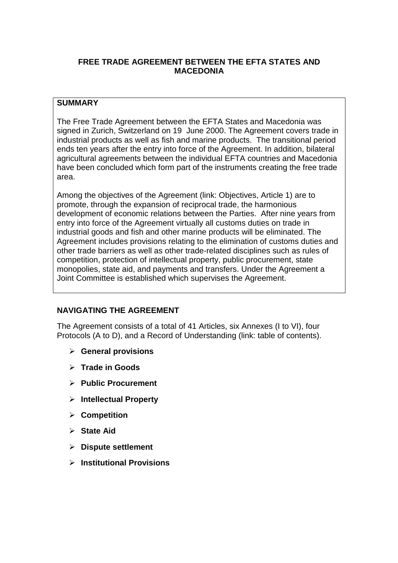# **FREE TRADE AGREEMENT BETWEEN THE EFTA STATES AND MACEDONIA**

# **SUMMARY**

The Free Trade Agreement between the EFTA States and Macedonia was signed in Zurich, Switzerland on 19 June 2000. The Agreement covers trade in industrial products as well as fish and marine products. The transitional period ends ten years after the entry into force of the Agreement. In addition, bilateral agricultural agreements between the individual EFTA countries and Macedonia have been concluded which form part of the instruments creating the free trade area.

Among the objectives of the Agreement (link: Objectives, Article 1) are to promote, through the expansion of reciprocal trade, the harmonious development of economic relations between the Parties. After nine years from entry into force of the Agreement virtually all customs duties on trade in industrial goods and fish and other marine products will be eliminated. The Agreement includes provisions relating to the elimination of customs duties and other trade barriers as well as other trade-related disciplines such as rules of competition, protection of intellectual property, public procurement, state monopolies, state aid, and payments and transfers. Under the Agreement a Joint Committee is established which supervises the Agreement.

## **NAVIGATING THE AGREEMENT**

The Agreement consists of a total of 41 Articles, six Annexes (I to VI), four Protocols (A to D), and a Record of Understanding (link: table of contents).

- **General provisions**
- **Trade in Goods**
- **Public Procurement**
- **Intellectual Property**
- **Competition**
- **State Aid**
- **Dispute settlement**
- **Institutional Provisions**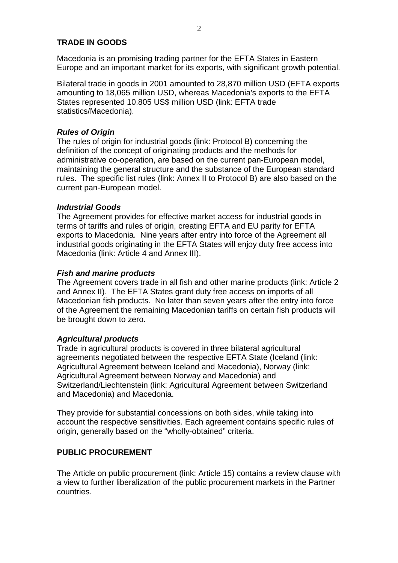## **TRADE IN GOODS**

Macedonia is an promising trading partner for the EFTA States in Eastern Europe and an important market for its exports, with significant growth potential.

Bilateral trade in goods in 2001 amounted to 28,870 million USD (EFTA exports amounting to 18,065 million USD, whereas Macedonia's exports to the EFTA States represented 10.805 US\$ million USD (link: EFTA trade statistics/Macedonia).

### **Rules of Origin**

The rules of origin for industrial goods (link: Protocol B) concerning the definition of the concept of originating products and the methods for administrative co-operation, are based on the current pan-European model, maintaining the general structure and the substance of the European standard rules. The specific list rules (link: Annex II to Protocol B) are also based on the current pan-European model.

### **Industrial Goods**

The Agreement provides for effective market access for industrial goods in terms of tariffs and rules of origin, creating EFTA and EU parity for EFTA exports to Macedonia. Nine years after entry into force of the Agreement all industrial goods originating in the EFTA States will enjoy duty free access into Macedonia (link: Article 4 and Annex III).

#### **Fish and marine products**

The Agreement covers trade in all fish and other marine products (link: Article 2 and Annex II). The EFTA States grant duty free access on imports of all Macedonian fish products. No later than seven years after the entry into force of the Agreement the remaining Macedonian tariffs on certain fish products will be brought down to zero.

#### **Agricultural products**

Trade in agricultural products is covered in three bilateral agricultural agreements negotiated between the respective EFTA State (Iceland (link: Agricultural Agreement between Iceland and Macedonia), Norway (link: Agricultural Agreement between Norway and Macedonia) and Switzerland/Liechtenstein (link: Agricultural Agreement between Switzerland and Macedonia) and Macedonia.

They provide for substantial concessions on both sides, while taking into account the respective sensitivities. Each agreement contains specific rules of origin, generally based on the "wholly-obtained" criteria.

## **PUBLIC PROCUREMENT**

The Article on public procurement (link: Article 15) contains a review clause with a view to further liberalization of the public procurement markets in the Partner countries.